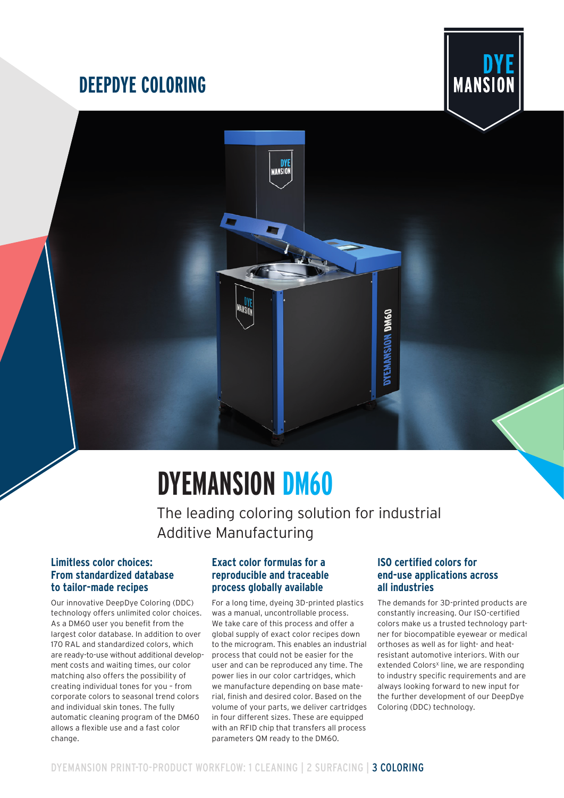# **DEEPDYE COLORING**





# **DYEMANSION DM60**

The leading coloring solution for industrial Additive Manufacturing

# **Limitless color choices: From standardized database to tailor-made recipes**

Our innovative DeepDye Coloring (DDC) technology offers unlimited color choices. As a DM60 user you benefit from the largest color database. In addition to over 170 RAL and standardized colors, which are ready-to-use without additional development costs and waiting times, our color matching also offers the possibility of creating individual tones for you – from corporate colors to seasonal trend colors and individual skin tones. The fully automatic cleaning program of the DM60 allows a flexible use and a fast color change.

# **Exact color formulas for a reproducible and traceable process globally available**

For a long time, dyeing 3D-printed plastics was a manual, uncontrollable process. We take care of this process and offer a global supply of exact color recipes down to the microgram. This enables an industrial process that could not be easier for the user and can be reproduced any time. The power lies in our color cartridges, which we manufacture depending on base material, finish and desired color. Based on the volume of your parts, we deliver cartridges in four different sizes. These are equipped with an RFID chip that transfers all process parameters QM ready to the DM60.

# **ISO certified colors for end-use applications across all industries**

The demands for 3D-printed products are constantly increasing. Our ISO-certified colors make us a trusted technology partner for biocompatible eyewear or medical orthoses as well as for light- and heatresistant automotive interiors. With our extended Colors<sup>x</sup> line, we are responding to industry specific requirements and are always looking forward to new input for the further development of our DeepDye Coloring (DDC) technology.